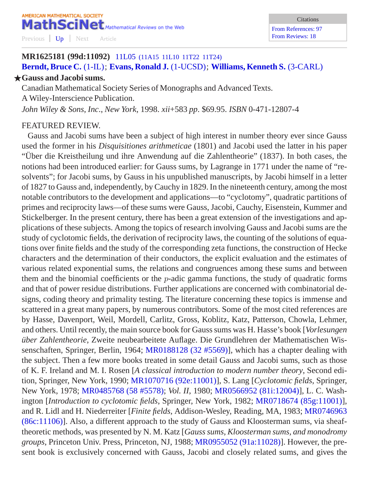## **MR1625181 (99d:11092)** 11L05 [\(11A15 11L10 11T22 11T24\)](http://www.ams.org/mathscinet/search/mscdoc.html?code=11L05%2C%2811A15%2C11L10%2C11T22%2C11T24%29) **[Berndt, Bruce C.](http://www.ams.org/mathscinet/search/publications.html?pg1=IID&s1=35610)** [\(1-IL\)](http://www.ams.org/mathscinet/search/institution.html?code=1_IL); **[Evans, Ronald J.](http://www.ams.org/mathscinet/search/publications.html?pg1=IID&s1=64500)** [\(1-UCSD\)](http://www.ams.org/mathscinet/search/institution.html?code=1_UCSD); **[Williams, Kenneth S.](http://www.ams.org/mathscinet/search/publications.html?pg1=IID&s1=183165)** [\(3-CARL\)](http://www.ams.org/mathscinet/search/institution.html?code=3_CARL)

## F**Gauss and Jacobi sums.**

Canadian Mathematical Society Series of Monographs and Advanced Texts. A Wiley-Interscience Publication. *John Wiley & Sons*, *Inc*., *New York*, 1998. *xii*+583 *pp*. \$69.95. *ISBN* 0-471-12807-4

## FEATURED REVIEW.

Gauss and Jacobi sums have been a subject of high interest in number theory ever since Gauss used the former in his *Disquisitiones arithmeticae* (1801) and Jacobi used the latter in his paper "Uber die Kreistheilung und ihre Anwendung auf die Zahlentheorie" (1837). In both cases, the ¨ notions had been introduced earlier: for Gauss sums, by Lagrange in 1771 under the name of "resolvents"; for Jacobi sums, by Gauss in his unpublished manuscripts, by Jacobi himself in a letter of 1827 to Gauss and, independently, by Cauchy in 1829. In the nineteenth century, among the most notable contributors to the development and applications—to "cyclotomy", quadratic partitions of primes and reciprocity laws—of these sums were Gauss, Jacobi, Cauchy, Eisenstein, Kummer and Stickelberger. In the present century, there has been a great extension of the investigations and applications of these subjects. Among the topics of research involving Gauss and Jacobi sums are the study of cyclotomic fields, the derivation of reciprocity laws, the counting of the solutions of equations over finite fields and the study of the corresponding zeta functions, the construction of Hecke characters and the determination of their conductors, the explicit evaluation and the estimates of various related exponential sums, the relations and congruences among these sums and between them and the binomial coefficients or the  $p$ -adic gamma functions, the study of quadratic forms and that of power residue distributions. Further applications are concerned with combinatorial designs, coding theory and primality testing. The literature concerning these topics is immense and scattered in a great many papers, by numerous contributors. Some of the most cited references are by Hasse, Davenport, Weil, Mordell, Carlitz, Gross, Koblitz, Katz, Patterson, Chowla, Lehmer, and others. Until recently, the main source book for Gauss sums was H. Hasse's book [*Vorlesungen über Zahlentheorie*, Zweite neubearbeitete Auflage. Die Grundlehren der Mathematischen Wissenschaften, Springer, Berlin, 1964; [MR0188128 \(32 #5569\)](http://www.ams.org/mathscinet/pdf/188128.pdf)], which has a chapter dealing with the subject. Then a few more books treated in some detail Gauss and Jacobi sums, such as those of K. F. Ireland and M. I. Rosen [*A classical introduction to modern number theory*, Second edition, Springer, New York, 1990; [MR1070716 \(92e:11001\)](http://www.ams.org/mathscinet/pdf/1070716.pdf)], S. Lang [*Cyclotomic fields*, Springer, New York, 1978; [MR0485768 \(58 #5578\);](http://www.ams.org/mathscinet/pdf/485768.pdf) *Vol. II*, 1980; [MR0566952 \(81i:12004\)\]](http://www.ams.org/mathscinet/pdf/566952.pdf), L. C. Washington [*Introduction to cyclotomic fields*, Springer, New York, 1982; [MR0718674 \(85g:11001\)\]](http://www.ams.org/mathscinet/pdf/718674.pdf), and R. Lidl and H. Niederreiter [*Finite fields*, Addison-Wesley, Reading, MA, 1983; [MR0746963](http://www.ams.org/mathscinet/pdf/746963.pdf) [\(86c:11106\)](http://www.ams.org/mathscinet/pdf/746963.pdf)]. Also, a different approach to the study of Gauss and Kloosterman sums, via sheaftheoretic methods, was presented by N. M. Katz [*Gauss sums, Kloosterman sums, and monodromy groups*, Princeton Univ. Press, Princeton, NJ, 1988; [MR0955052 \(91a:11028\)\]](http://www.ams.org/mathscinet/pdf/955052.pdf). However, the present book is exclusively concerned with Gauss, Jacobi and closely related sums, and gives the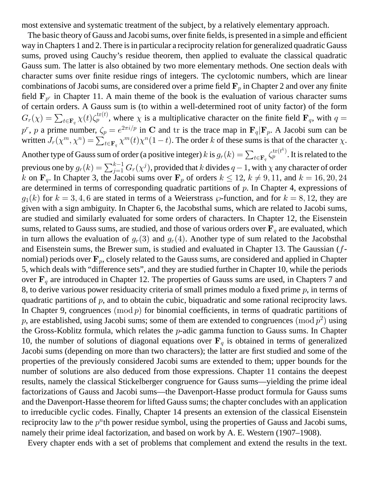most extensive and systematic treatment of the subject, by a relatively elementary approach.

The basic theory of Gauss and Jacobi sums, over finite fields, is presented in a simple and efficient way in Chapters 1 and 2. There is in particular a reciprocity relation for generalized quadratic Gauss sums, proved using Cauchy's residue theorem, then applied to evaluate the classical quadratic Gauss sum. The latter is also obtained by two more elementary methods. One section deals with character sums over finite residue rings of integers. The cyclotomic numbers, which are linear combinations of Jacobi sums, are considered over a prime field  $\mathbf{F}_p$  in Chapter 2 and over any finite field  $F_{p^r}$  in Chapter 11. A main theme of the book is the evaluation of various character sums of certain orders. A Gauss sum is (to within a well-determined root of unity factor) of the form  $G_r(\chi) = \sum_{t \in \mathbf{F}_q} \chi(t) \zeta_p^{\text{tr}(t)}$ , where  $\chi$  is a multiplicative character on the finite field  $\mathbf{F}_q$ , with  $q =$  $p^r$ , p a prime number,  $\zeta_p = e^{2\pi i/p}$  in C and tr is the trace map in  $\mathbf{F}_q|\mathbf{F}_p$ . A Jacobi sum can be written  $J_r(\chi^m, \chi^n) = \sum_{t \in \mathbf{F}_q} \chi^m(t) \chi^n(1-t)$ . The order k of these sums is that of the character  $\chi$ . Another type of Gauss sum of order (a positive integer)  $k$  is  $g_r(k) = \sum_{t \in \mathbf{F}_q} \zeta_p^{\text{tr}(t^k)}$ . It is related to the previous one by  $g_r(k)=\sum_{j=1}^{k-1}G_r(\chi^j),$  provided that  $k$  divides  $q-1,$  with  $\chi$  any character of order k on  $\mathbf{F}_q$ . In Chapter 3, the Jacobi sums over  $\mathbf{F}_p$  of orders  $k \le 12$ ,  $k \ne 9, 11$ , and  $k = 16, 20, 24$ are determined in terms of corresponding quadratic partitions of  $p$ . In Chapter 4, expressions of  $g_1(k)$  for  $k = 3, 4, 6$  are stated in terms of a Weierstrass  $\wp$ -function, and for  $k = 8, 12$ , they are given with a sign ambiguity. In Chapter 6, the Jacobsthal sums, which are related to Jacobi sums, are studied and similarly evaluated for some orders of characters. In Chapter 12, the Eisenstein sums, related to Gauss sums, are studied, and those of various orders over  $F_q$  are evaluated, which in turn allows the evaluation of  $g_r(3)$  and  $g_r(4)$ . Another type of sum related to the Jacobsthal and Eisenstein sums, the Brewer sum, is studied and evaluated in Chapter 13. The Gaussian (fnomial) periods over  $\mathbf{F}_p$ , closely related to the Gauss sums, are considered and applied in Chapter 5, which deals with "difference sets", and they are studied further in Chapter 10, while the periods over  $\mathbf{F}_q$  are introduced in Chapter 12. The properties of Gauss sums are used, in Chapters 7 and 8, to derive various power residuacity criteria of small primes modulo a fixed prime  $p$ , in terms of quadratic partitions of p, and to obtain the cubic, biquadratic and some rational reciprocity laws. In Chapter 9, congruences  $(\text{mod } p)$  for binomial coefficients, in terms of quadratic partitions of p, are established, using Jacobi sums; some of them are extended to congruences  $(\text{mod } p^2)$  using the Gross-Koblitz formula, which relates the p-adic gamma function to Gauss sums. In Chapter 10, the number of solutions of diagonal equations over  $F_q$  is obtained in terms of generalized Jacobi sums (depending on more than two characters); the latter are first studied and some of the properties of the previously considered Jacobi sums are extended to them; upper bounds for the number of solutions are also deduced from those expressions. Chapter 11 contains the deepest results, namely the classical Stickelberger congruence for Gauss sums—yielding the prime ideal factorizations of Gauss and Jacobi sums—the Davenport-Hasse product formula for Gauss sums and the Davenport-Hasse theorem for lifted Gauss sums; the chapter concludes with an application to irreducible cyclic codes. Finally, Chapter 14 presents an extension of the classical Eisenstein reciprocity law to the  $p<sup>n</sup>$ th power residue symbol, using the properties of Gauss and Jacobi sums, namely their prime ideal factorization, and based on work by A. E. Western (1907–1908).

Every chapter ends with a set of problems that complement and extend the results in the text.